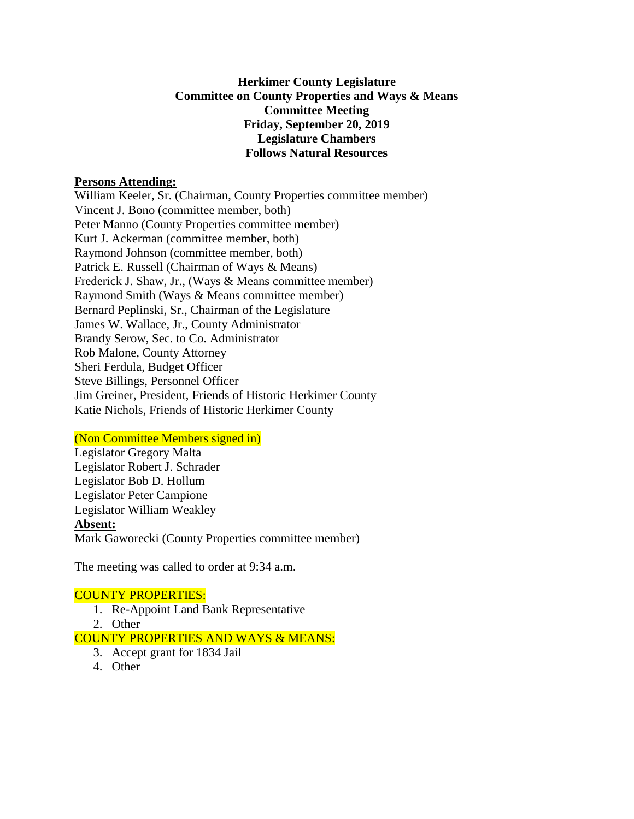## **Herkimer County Legislature Committee on County Properties and Ways & Means Committee Meeting Friday, September 20, 2019 Legislature Chambers Follows Natural Resources**

#### **Persons Attending:**

William Keeler, Sr. (Chairman, County Properties committee member) Vincent J. Bono (committee member, both) Peter Manno (County Properties committee member) Kurt J. Ackerman (committee member, both) Raymond Johnson (committee member, both) Patrick E. Russell (Chairman of Ways & Means) Frederick J. Shaw, Jr., (Ways & Means committee member) Raymond Smith (Ways & Means committee member) Bernard Peplinski, Sr., Chairman of the Legislature James W. Wallace, Jr., County Administrator Brandy Serow, Sec. to Co. Administrator Rob Malone, County Attorney Sheri Ferdula, Budget Officer Steve Billings, Personnel Officer Jim Greiner, President, Friends of Historic Herkimer County Katie Nichols, Friends of Historic Herkimer County

## (Non Committee Members signed in)

Legislator Gregory Malta Legislator Robert J. Schrader Legislator Bob D. Hollum Legislator Peter Campione Legislator William Weakley **Absent:** Mark Gaworecki (County Properties committee member)

The meeting was called to order at 9:34 a.m.

## COUNTY PROPERTIES:

- 1. Re-Appoint Land Bank Representative
- 2. Other

COUNTY PROPERTIES AND WAYS & MEANS:

- 3. Accept grant for 1834 Jail
- 4. Other